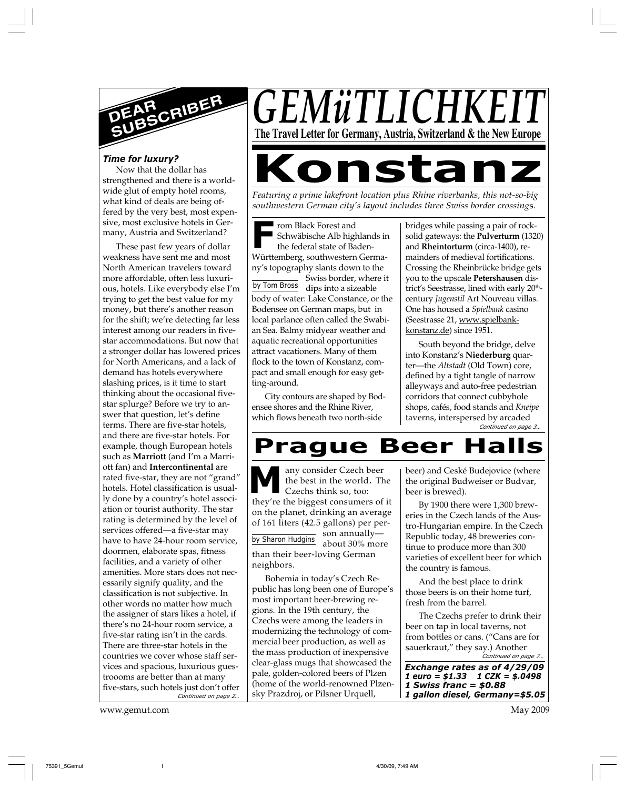

#### *Time for luxury?*

Now that the dollar has strengthened and there is a worldwide glut of empty hotel rooms, what kind of deals are being offered by the very best, most expensive, most exclusive hotels in Germany, Austria and Switzerland?

*Continued on page 2…* These past few years of dollar weakness have sent me and most North American travelers toward more affordable, often less luxurious, hotels. Like everybody else I'm trying to get the best value for my money, but there's another reason for the shift; we're detecting far less interest among our readers in fivestar accommodations. But now that a stronger dollar has lowered prices for North Americans, and a lack of demand has hotels everywhere slashing prices, is it time to start thinking about the occasional fivestar splurge? Before we try to answer that question, let's define terms. There are five-star hotels, and there are five-star hotels. For example, though European hotels such as **Marriott** (and I'm a Marriott fan) and **Intercontinental** are rated five-star, they are not "grand" hotels. Hotel classification is usually done by a country's hotel association or tourist authority. The star rating is determined by the level of services offered—a five-star may have to have 24-hour room service, doormen, elaborate spas, fitness facilities, and a variety of other amenities. More stars does not necessarily signify quality, and the classification is not subjective. In other words no matter how much the assigner of stars likes a hotel, if there's no 24-hour room service, a five-star rating isn't in the cards. There are three-star hotels in the countries we cover whose staff services and spacious, luxurious guestroooms are better than at many five-stars, such hotels just don't offer

www.gemut.com May 2009

## *GEMüTLICHKI* **The Travel Letter for Germany, Austria, Switzerland & the New Europe**

# **Konstanz**

*Featuring a prime lakefront location plus Rhine riverbanks, this not-so-big southwestern German city's layout includes three Swiss border crossing*s.

**F** rom Black Forest and Schwäbische Alb highlands in the federal state of Baden-Württemberg, southwestern Germany's topography slants down to the

by Tom Bross dips into a sizeable Swiss border, where it body of water: Lake Constance, or the Bodensee on German maps, but in local parlance often called the Swabian Sea. Balmy midyear weather and aquatic recreational opportunities attract vacationers. Many of them flock to the town of Konstanz, compact and small enough for easy getting-around.

City contours are shaped by Bodensee shores and the Rhine River, which flows beneath two north-side

bridges while passing a pair of rocksolid gateways: the **Pulverturm** (1320) and **Rheintorturm** (circa-1400), remainders of medieval fortifications. Crossing the Rheinbrücke bridge gets you to the upscale **Petershausen** district's Seestrasse, lined with early 20<sup>th</sup>century *Jugenstil* Art Nouveau villas. One has housed a *Spielbank* casino (Seestrasse 21, www.spielbankkonstanz.de) since 1951.

*Continued on page 3…* South beyond the bridge, delve into Konstanz's **Niederburg** quarter—the *Altstadt* (Old Town) core, defined by a tight tangle of narrow alleyways and auto-free pedestrian corridors that connect cubbyhole shops, cafés, food stands and *Kneipe* taverns, interspersed by arcaded

## **Prague Beer**

**M** any consider Czech beer the best in the world. The Czechs think so, too: they're the biggest consumers of it on the planet, drinking an average of 161 liters (42.5 gallons) per per-

son annually by Sharon Hudgins about 30% more than their beer-loving German neighbors.

Bohemia in today's Czech Republic has long been one of Europe's most important beer-brewing regions. In the 19th century, the Czechs were among the leaders in modernizing the technology of commercial beer production, as well as the mass production of inexpensive clear-glass mugs that showcased the pale, golden-colored beers of Plzen (home of the world-renowned Plzensky Prazdroj, or Pilsner Urquell,

beer) and Ceské Budejovice (where the original Budweiser or Budvar, beer is brewed).

By 1900 there were 1,300 breweries in the Czech lands of the Austro-Hungarian empire. In the Czech Republic today, 48 breweries continue to produce more than 300 varieties of excellent beer for which the country is famous.

And the best place to drink those beers is on their home turf, fresh from the barrel.

*Continued on page 7…* The Czechs prefer to drink their beer on tap in local taverns, not from bottles or cans. ("Cans are for sauerkraut," they say.) Another

*Exchange rates as of 4/29/09 1 euro = \$1.33 1 CZK = \$.0498 1 Swiss franc = \$0.88 1 gallon diesel, Germany=\$5.05*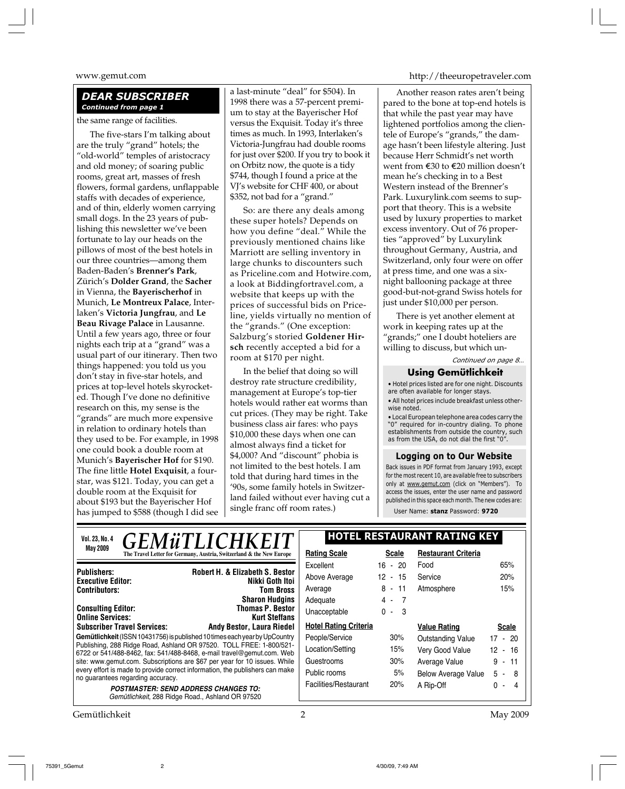#### *DEAR SUBSCRIBER Continued from page 1*

the same range of facilities.

The five-stars I'm talking about are the truly "grand" hotels; the "old-world" temples of aristocracy and old money; of soaring public rooms, great art, masses of fresh flowers, formal gardens, unflappable staffs with decades of experience, and of thin, elderly women carrying small dogs. In the 23 years of publishing this newsletter we've been fortunate to lay our heads on the pillows of most of the best hotels in our three countries—among them Baden-Baden's **Brenner's Park**, Zürich's **Dolder Grand**, the **Sacher** in Vienna, the **Bayerischerhof** in Munich, **Le Montreux Palace**, Interlaken's **Victoria Jungfrau**, and **Le Beau Rivage Palace** in Lausanne. Until a few years ago, three or four nights each trip at a "grand" was a usual part of our itinerary. Then two things happened: you told us you don't stay in five-star hotels, and prices at top-level hotels skyrocketed. Though I've done no definitive research on this, my sense is the "grands" are much more expensive in relation to ordinary hotels than they used to be. For example, in 1998 one could book a double room at Munich's **Bayerischer Hof** for \$190. The fine little **Hotel Exquisit**, a fourstar, was \$121. Today, you can get a double room at the Exquisit for about \$193 but the Bayerischer Hof has jumped to \$588 (though I did see a last-minute "deal" for \$504). In 1998 there was a 57-percent premium to stay at the Bayerischer Hof versus the Exquisit. Today it's three times as much. In 1993, Interlaken's Victoria-Jungfrau had double rooms for just over \$200. If you try to book it on Orbitz now, the quote is a tidy \$744, though I found a price at the VJ's website for CHF 400, or about \$352, not bad for a "grand."

So: are there any deals among these super hotels? Depends on how you define "deal." While the previously mentioned chains like Marriott are selling inventory in large chunks to discounters such as Priceline.com and Hotwire.com, a look at Biddingfortravel.com, a website that keeps up with the prices of successful bids on Priceline, yields virtually no mention of the "grands." (One exception: Salzburg's storied **Goldener Hirsch** recently accepted a bid for a room at \$170 per night.

In the belief that doing so will destroy rate structure credibility, management at Europe's top-tier hotels would rather eat worms than cut prices. (They may be right. Take business class air fares: who pays \$10,000 these days when one can almost always find a ticket for \$4,000? And "discount" phobia is not limited to the best hotels. I am told that during hard times in the '90s, some family hotels in Switzerland failed without ever having cut a single franc off room rates.)

www.gemut.com http://theeuropetraveler.com

Another reason rates aren't being pared to the bone at top-end hotels is that while the past year may have lightened portfolios among the clientele of Europe's "grands," the damage hasn't been lifestyle altering. Just because Herr Schmidt's net worth went from E30 to E20 million doesn't mean he's checking in to a Best Western instead of the Brenner's Park. Luxurylink.com seems to support that theory. This is a website used by luxury properties to market excess inventory. Out of 76 properties "approved" by Luxurylink throughout Germany, Austria, and Switzerland, only four were on offer at press time, and one was a sixnight ballooning package at three good-but-not-grand Swiss hotels for just under \$10,000 per person.

*Continued on page 8…* There is yet another element at work in keeping rates up at the "grands;" one I doubt hoteliers are willing to discuss, but which un-

## **Using Gemütlichkeit**

• Hotel prices listed are for one night. Discounts are often available for longer stays. • All hotel prices include breakfast unless other-

wise noted. • Local European telephone area codes carry the

"0" required for in-country dialing. To phone establishments from outside the country, such as from the USA, do not dial the first "0".

#### **Logging on to Our Website**

Back issues in PDF format from January 1993, except for the most recent 10, are available free to subscribers only at www.gemut.com (click on "Members"). To access the issues, enter the user name and password published in this space each month. The new codes are: User Name: **stanz** Password: **9720**

**Gemütlichkeit** (ISSN 10431756) is published 10 times each year by UpCountry Publishing, 288 Ridge Road, Ashland OR 97520. TOLL FREE: 1-800/521- 6722 or 541/488-8462, fax: 541/488-8468, e-mail travel@gemut.com. Web site: www.gemut.com. Subscriptions are \$67 per year for 10 issues. While every effort is made to provide correct information, the publishers can make no guarantees regarding accuracy. **POSTMASTER: SEND ADDRESS CHANGES TO:** Gemütlichkeit, 288 Ridge Road., Ashland OR 97520 **Publishers:** Robert H. & Elizabeth S. Bestor **Publishers: Robert H. & Elizabeth S. Bestor Executive Editor:** Nikki Goth Itoi **Contributors: Dougle Linton, C. Fischer, R. Holliday, J. Holliday, J. Holliday, J. Holliday, J. Holliday, J. Holliday, J. Holliday, J. Holliday, J. Holliday, J. Holliday, J. Holliday, J. Holliday, J. Holliday, J. Hollid Masseum Masseum T. Merschlands** Sharon Hudgins **Consulting Editor:** Thomas P. Bestor **Online Services:** Kurt Steffans **Subscriber Travel Services:** Andy Bestor, Laura Riedel **Subscriber Travel Services: Andy Bestor, Laura Riedel Vol. 23, No. 4 HOTEL RESTAURANT RATING KEY May 2009 Rating Scale Rating Scale Rating Scale Rating Scale Rating Scale Scale Scale** Excellent 16 - 20 Above Average 12 - 15 Average 8 - 11 Adequate 4 - 7 Unacceptable 0 - 3 **Hotel Rating Criteria** People/Service 30% Location/Setting 15% Guestrooms 30% Public rooms 5% Facilities/Restaurant 20% **Restaurant Criteria** Food 65% Service 20% Atmosphere 15% **Value Rating Scale** Outstanding Value 17 - 20 Very Good Value 12 - 16 Average Value 9 - 11 Below Average Value 5 - 8 A Rip-Off 0 - 4 *GEMüTLI* **Thomas P. Bestor** 

Gemütlichkeit 2 May 2009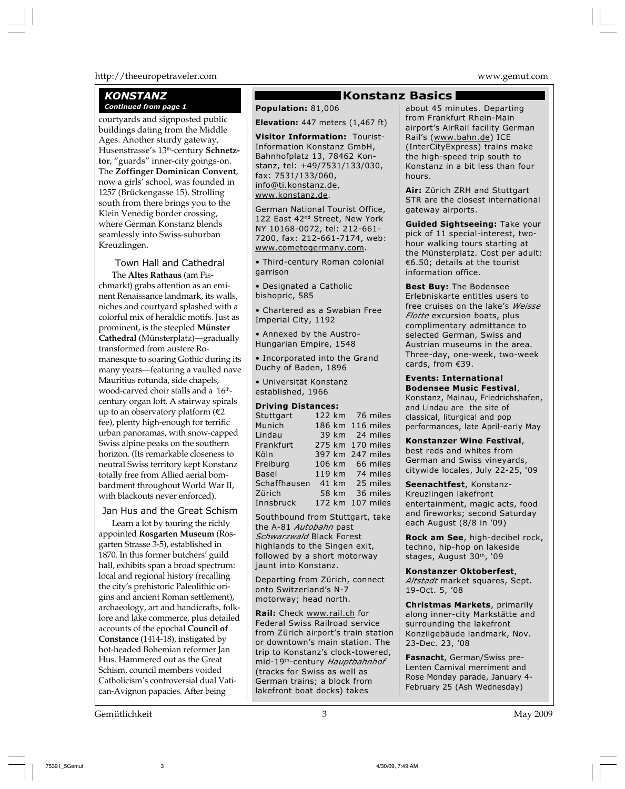#### http://theeuropetraveler.com www.gemut.com

#### *KONSTANZ* **Continued from page 1 Population:** 81,006

courtyards and signposted public buildings dating from the Middle Ages. Another sturdy gateway, Husenstrasse's 13th-century **Schnetztor**, "guards" inner-city goings-on. The **Zoffinger Dominican Convent**, now a girls' school, was founded in 1257 (Brückengasse 15). Strolling south from there brings you to the Klein Venedig border crossing, where German Konstanz blends seamlessly into Swiss-suburban Kreuzlingen.

#### Town Hall and Cathedral

The **Altes Rathaus** (am Fischmarkt) grabs attention as an eminent Renaissance landmark, its walls, niches and courtyard splashed with a colorful mix of heraldic motifs. Just as prominent, is the steepled **Münster Cathedral** (Münsterplatz)—gradually transformed from austere Romanesque to soaring Gothic during its many years—featuring a vaulted nave Mauritius rotunda, side chapels, wood-carved choir stalls and a 16<sup>th</sup>century organ loft. A stairway spirals up to an observatory platform  $(€2)$ fee), plenty high-enough for terrific urban panoramas, with snow-capped Swiss alpine peaks on the southern horizon. (Its remarkable closeness to neutral Swiss territory kept Konstanz totally free from Allied aerial bombardment throughout World War II, with blackouts never enforced).

#### Jan Hus and the Great Schism

Learn a lot by touring the richly appointed **Rosgarten Museum** (Rosgarten Strasse 3-5), established in 1870. In this former butchers' guild hall, exhibits span a broad spectrum: local and regional history (recalling the city's prehistoric Paleolithic origins and ancient Roman settlement), archaeology, art and handicrafts, folklore and lake commerce, plus detailed accounts of the epochal **Council of Constance** (1414-18), instigated by hot-headed Bohemian reformer Jan Hus. Hammered out as the Great Schism, council members voided Catholicism's controversial dual Vatican-Avignon papacies. After being

#### **Konstanz Basics**

**Elevation:** 447 meters (1,467 ft)

**Visitor Information:** Tourist-Information Konstanz GmbH, Bahnhofplatz 13, 78462 Konstanz, tel: +49/7531/133/030, fax: 7531/133/060, info@ti.konstanz.de, www.konstanz.de.

German National Tourist Office, 122 East 42<sup>nd</sup> Street, New York NY 10168-0072, tel: 212-661- 7200, fax: 212-661-7174, web: www.cometogermany.com.

• Third-century Roman colonial garrison

• Designated a Catholic bishopric, 585

• Chartered as a Swabian Free Imperial City, 1192

• Annexed by the Austro-Hungarian Empire, 1548

• Incorporated into the Grand Duchy of Baden, 1896

• Universität Konstanz established, 1966

#### **Driving Distances:**

| --------     |       |                  |
|--------------|-------|------------------|
| Stuttgart    |       | 122 km 76 miles  |
| Munich       |       | 186 km 116 miles |
| Lindau       |       | 39 km 24 miles   |
| Frankfurt    |       | 275 km 170 miles |
| Köln         |       | 397 km 247 miles |
| Freiburg     |       | 106 km 66 miles  |
| <b>Basel</b> |       | 119 km 74 miles  |
| Schaffhausen |       | 41 km 25 miles   |
| Zürich       | 58 km | 36 miles         |
| Innsbruck    |       | 172 km 107 miles |

Southbound from Stuttgart, take the A-81 *Autobahn* past *Schwarzwald* Black Forest highlands to the Singen exit, followed by a short motorway jaunt into Konstanz.

Departing from Zürich, connect onto Switzerland's N-7 motorway; head north.

**Rail:** Check www.rail.ch for Federal Swiss Railroad service from Zürich airport's train station or downtown's main station. The trip to Konstanz's clock-towered, mid-19th-century *Hauptbahnhof* (tracks for Swiss as well as German trains; a block from lakefront boat docks) takes

about 45 minutes. Departing from Frankfurt Rhein-Main airport's AirRail facility German Rail's (www.bahn.de) ICE (InterCityExpress) trains make the high-speed trip south to Konstanz in a bit less than four hours.

**Air:** Zürich ZRH and Stuttgart STR are the closest international gateway airports.

**Guided Sightseeing:** Take your pick of 11 special-interest, twohour walking tours starting at the Münsterplatz. Cost per adult:  $€6.50;$  details at the tourist information office.

**Best Buy:** The Bodensee Erlebniskarte entitles users to free cruises on the lake's *Weisse Flotte* excursion boats, plus complimentary admittance to selected German, Swiss and Austrian museums in the area. Three-day, one-week, two-week cards, from  $€39$ .

**Events: International Bodensee Music Festival**, Konstanz, Mainau, Friedrichshafen, and Lindau are the site of classical, liturgical and pop performances, late April-early May

**Konstanzer Wine Festival**, best reds and whites from German and Swiss vineyards, citywide locales, July 22-25, '09

**Seenachtfest**, Konstanz-Kreuzlingen lakefront entertainment, magic acts, food and fireworks; second Saturday each August (8/8 in '09)

**Rock am See**, high-decibel rock, techno, hip-hop on lakeside stages, August 30th, '09

**Konstanzer Oktoberfest**, *Altstadt* market squares, Sept. 19-Oct. 5, '08

**Christmas Markets**, primarily along inner-city Markstätte and surrounding the lakefront Konzilgebäude landmark, Nov. 23-Dec. 23, '08

**Fasnacht**, German/Swiss pre-Lenten Carnival merriment and Rose Monday parade, January 4- February 25 (Ash Wednesday)

Gemütlichkeit 3 May 2009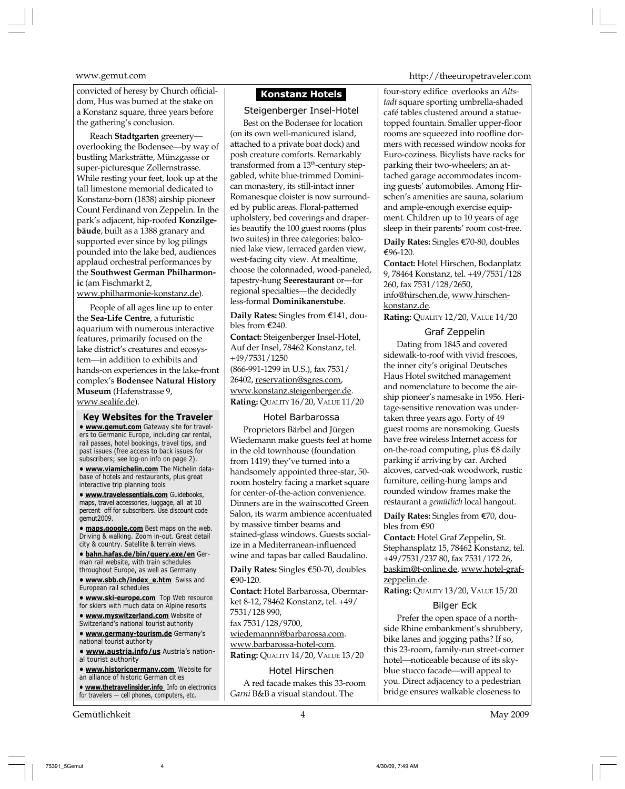convicted of heresy by Church officialdom, Hus was burned at the stake on a Konstanz square, three years before the gathering's conclusion.

Reach **Stadtgarten** greenery overlooking the Bodensee—by way of bustling Marksträtte, Münzgasse or super-picturesque Zollernstrasse. While resting your feet, look up at the tall limestone memorial dedicated to Konstanz-born (1838) airship pioneer Count Ferdinand von Zeppelin. In the park's adjacent, hip-roofed **Konzilgebäude**, built as a 1388 granary and supported ever since by log pilings pounded into the lake bed, audiences applaud orchestral performances by the **Southwest German Philharmonic** (am Fischmarkt 2,

www.philharmonie-konstanz.de).

People of all ages line up to enter the **Sea-Life Centre**, a futuristic aquarium with numerous interactive features, primarily focused on the lake district's creatures and ecosystem—in addition to exhibits and hands-on experiences in the lake-front complex's **Bodensee Natural History Museum** (Hafenstrasse 9, www.sealife.de).

**Key Websites for the Traveler • www.gemut.com** Gateway site for travelers to Germanic Europe, including car rental, rail passes, hotel bookings, travel tips, and past issues (free access to back issues for subscribers; see log-on info on page 2).

**• www.viamichelin.com** The Michelin database of hotels and restaurants, plus great interactive trip planning tools

**• www.travelessentials.com** Guidebooks, maps, travel accessories, luggage, all at 10 percent off for subscribers. Use discount code gemut2009.

**• maps.google.com** Best maps on the web. Driving & walking. Zoom in-out. Great detail city & country. Satellite & terrain views.

**• bahn.hafas.de/bin/query.exe/en** German rail website, with train schedules throughout Europe, as well as Germany

**• www.sbb.ch/index\_e.htm** Swiss and European rail schedules

**• www.ski-europe.com** Top Web resource for skiers with much data on Alpine resorts

**• www.myswitzerland.com** Website of Switzerland's national tourist authority

**• www.germany-tourism.de** Germany's national tourist authority

**• www.austria.info/us** Austria's national tourist authority

**• www.historicgermany.com** Website for an alliance of historic German cities

**• www.thetravelinsider.info** Info on electronics for travelers — cell phones, computers, etc.

Gemütlichkeit 4 May 2009

### **Konstanz Hotels**

#### Steigenberger Insel-Hotel

Best on the Bodensee for location (on its own well-manicured island, attached to a private boat dock) and posh creature comforts. Remarkably transformed from a 13<sup>th</sup>-century stepgabled, white blue-trimmed Dominican monastery, its still-intact inner Romanesque cloister is now surrounded by public areas. Floral-patterned upholstery, bed coverings and draperies beautify the 100 guest rooms (plus two suites) in three categories: balconied lake view, terraced garden view, west-facing city view. At mealtime, choose the colonnaded, wood-paneled, tapestry-hung **Seerestaurant** or—for regional specialties—the decidedly less-formal **Dominikanerstube**.

**Daily Rates:** Singles from €141, doubles from  $E$ 240.

**Contact:** Steigenberger Insel-Hotel, Auf der Insel, 78462 Konstanz, tel. +49/7531/1250 (866-991-1299 in U.S.), fax 7531/ 26402, reservation@sgres.com, www.konstanz.steigenberger.de. **Rating:** QUALITY 16/20, VALUE 11/20

#### Hotel Barbarossa

Proprietors Bärbel and Jürgen Wiedemann make guests feel at home in the old townhouse (foundation from 1419) they've turned into a handsomely appointed three-star, 50 room hostelry facing a market square for center-of-the-action convenience. Dinners are in the wainscotted Green Salon, its warm ambience accentuated by massive timber beams and stained-glass windows. Guests socialize in a Mediterranean-influenced wine and tapas bar called Baudalino.

**Daily Rates:** Singles €50-70, doubles e90-120.

**Contact:** Hotel Barbarossa, Obermarket 8-12, 78462 Konstanz, tel. +49/ 7531/128 990, fax 7531/128/9700, wiedemannn@barbarossa.com. www.barbarossa-hotel-com. **Rating:** QUALITY 14/20, VALUE 13/20

Hotel Hirschen

A red facade makes this 33-room *Garni* B&B a visual standout. The

www.gemut.com http://theeuropetraveler.com

four-story edifice overlooks an *Altstadt* square sporting umbrella-shaded café tables clustered around a statuetopped fountain. Smaller upper-floor rooms are squeezed into roofline dormers with recessed window nooks for Euro-coziness. Bicylists have racks for parking their two-wheelers; an attached garage accommodates incoming guests' automobiles. Among Hirschen's amenities are sauna, solarium and ample-enough exercise equipment. Children up to 10 years of age sleep in their parents' room cost-free.

**Daily Rates:** Singles €70-80, doubles e96-120.

**Contact:** Hotel Hirschen, Bodanplatz 9, 78464 Konstanz, tel. +49/7531/128 260, fax 7531/128/2650, info@hirschen.de, www.hirschenkonstanz.de. **Rating:** QUALITY 12/20, VALUE 14/20

Graf Zeppelin

Dating from 1845 and covered sidewalk-to-roof with vivid frescoes, the inner city's original Deutsches Haus Hotel switched management and nomenclature to become the airship pioneer's namesake in 1956. Heritage-sensitive renovation was undertaken three years ago. Forty of 49 guest rooms are nonsmoking. Guests have free wireless Internet access for on-the-road computing, plus €8 daily parking if arriving by car. Arched alcoves, carved-oak woodwork, rustic furniture, ceiling-hung lamps and rounded window frames make the restaurant a *gemütlich* local hangout.

**Daily Rates:** Singles from €70, doubles from  $\epsilon$ 90

**Contact:** Hotel Graf Zeppelin, St. Stephansplatz 15, 78462 Konstanz, tel. +49/7531/237 80, fax 7531/172 26, baskim@t-online.de, www.hotel-grafzeppelin.de.

**Rating:** QUALITY 13/20, VALUE 15/20

#### Bilger Eck

Prefer the open space of a northside Rhine embankment's shrubbery, bike lanes and jogging paths? If so, this 23-room, family-run street-corner hotel—noticeable because of its skyblue stucco facade—will appeal to you. Direct adjacency to a pedestrian bridge ensures walkable closeness to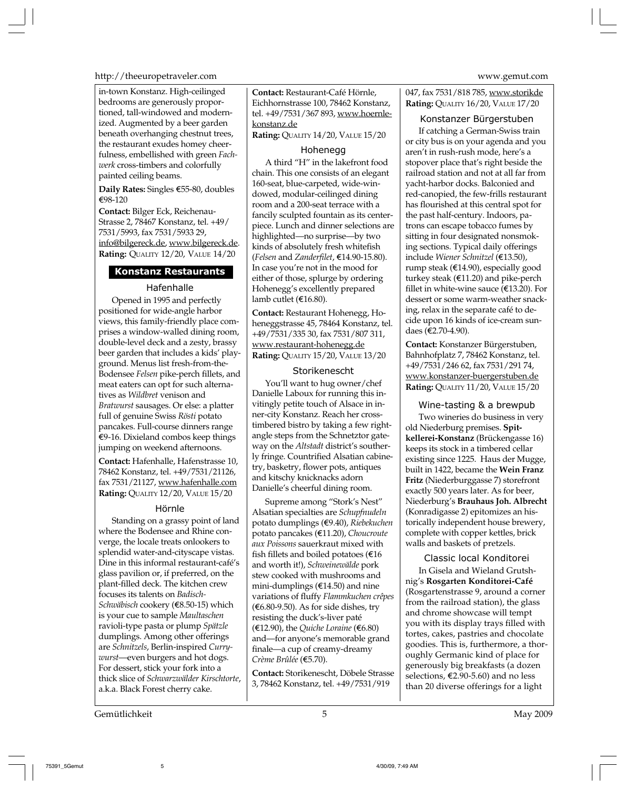http://theeuropetraveler.com www.gemut.com

in-town Konstanz. High-ceilinged bedrooms are generously proportioned, tall-windowed and modernized. Augmented by a beer garden beneath overhanging chestnut trees, the restaurant exudes homey cheerfulness, embellished with green *Fachwerk* cross-timbers and colorfully painted ceiling beams.

**Daily Rates:** Singles €55-80, doubles e98-120

**Contact:** Bilger Eck, Reichenau-Strasse 2, 78467 Konstanz, tel. +49/ 7531/5993, fax 7531/5933 29, info@bilgereck.de, www.bilgereck.de. **Rating:** QUALITY 12/20, VALUE 14/20

### **Konstanz Restaurants**

#### Hafenhalle

Opened in 1995 and perfectly positioned for wide-angle harbor views, this family-friendly place comprises a window-walled dining room, double-level deck and a zesty, brassy beer garden that includes a kids' playground. Menus list fresh-from-the-Bodensee *Felsen* pike-perch fillets, and meat eaters can opt for such alternatives as *Wildbret* venison and *Bratwurst* sausages. Or else: a platter full of genuine Swiss *Rösti* potato pancakes. Full-course dinners range  $E$ 9-16. Dixieland combos keep things jumping on weekend afternoons.

**Contact:** Hafenhalle, Hafenstrasse 10, 78462 Konstanz, tel. +49/7531/21126, fax 7531/21127, www.hafenhalle.com **Rating:** QUALITY 12/20, VALUE 15/20

#### Hörnle

Standing on a grassy point of land where the Bodensee and Rhine converge, the locale treats onlookers to splendid water-and-cityscape vistas. Dine in this informal restaurant-café's glass pavilion or, if preferred, on the plant-filled deck. The kitchen crew focuses its talents on *Badisch-Schwäbisch* cookery (€8.50-15) which is your cue to sample *Maultaschen* ravioli-type pasta or plump *Spätzle* dumplings. Among other offerings are *Schnitzels*, Berlin-inspired *Currywurst*—even burgers and hot dogs. For dessert, stick your fork into a thick slice of *Schwarzwälder Kirschtorte*, a.k.a. Black Forest cherry cake.

**Contact:** Restaurant-Café Hörnle, Eichhornstrasse 100, 78462 Konstanz, tel. +49/7531/367 893, www.hoernlekonstanz.de

**Rating:** QUALITY 14/20, VALUE 15/20

#### Hohenegg

A third "H" in the lakefront food chain. This one consists of an elegant 160-seat, blue-carpeted, wide-windowed, modular-ceilinged dining room and a 200-seat terrace with a fancily sculpted fountain as its centerpiece. Lunch and dinner selections are highlighted—no surprise—by two kinds of absolutely fresh whitefish (*Felsen* and *Zanderfilet*, e14.90-15.80). In case you're not in the mood for either of those, splurge by ordering Hohenegg's excellently prepared lamb cutlet ( $E16.80$ ).

**Contact:** Restaurant Hohenegg, Hoheneggstrasse 45, 78464 Konstanz, tel. +49/7531/335 30, fax 7531/807 311, www.restaurant-hohenegg.de **Rating:** QUALITY 15/20, VALUE 13/20

#### Storikenescht

You'll want to hug owner/chef Danielle Laboux for running this invitingly petite touch of Alsace in inner-city Konstanz. Reach her crosstimbered bistro by taking a few rightangle steps from the Schnetztor gateway on the *Altstadt* district's southerly fringe. Countrified Alsatian cabinetry, basketry, flower pots, antiques and kitschy knicknacks adorn Danielle's cheerful dining room.

Supreme among "Stork's Nest" Alsatian specialties are *Schupfnudeln* potato dumplings (€9.40), *Riebekuchen* potato pancakes (e11.20), *Choucroute aux Poissons* sauerkraut mixed with fish fillets and boiled potatoes ( $\epsilon$ 16 and worth it!), *Schweinewälde* pork stew cooked with mushrooms and mini-dumplings ( $E$ 14.50) and nine variations of fluffy *Flammkuchen crêpes*  $(\text{\textsterling}6.80\text{-}9.50)$ . As for side dishes, try resisting the duck's-liver paté  $(\text{\textsterling}12.90)$ , the *Quiche Loraine*  $(\text{\textsterling}6.80)$ and—for anyone's memorable grand finale—a cup of creamy-dreamy *Crème Brûlée* (e5.70).

**Contact:** Storikenescht, Döbele Strasse 3, 78462 Konstanz, tel. +49/7531/919

047, fax 7531/818 785, www.storikde **Rating:** QUALITY 16/20, VALUE 17/20

#### Konstanzer Bürgerstuben

If catching a German-Swiss train or city bus is on your agenda and you aren't in rush-rush mode, here's a stopover place that's right beside the railroad station and not at all far from yacht-harbor docks. Balconied and red-canopied, the few-frills restaurant has flourished at this central spot for the past half-century. Indoors, patrons can escape tobacco fumes by sitting in four designated nonsmoking sections. Typical daily offerings include *Wiener Schnitzel* (e13.50), rump steak ( $E$ 14.90), especially good turkey steak ( $E$ 11.20) and pike-perch fillet in white-wine sauce  $(\text{E13.20}).$  For dessert or some warm-weather snacking, relax in the separate café to decide upon 16 kinds of ice-cream sundaes (€2.70-4.90).

**Contact:** Konstanzer Bürgerstuben, Bahnhofplatz 7, 78462 Konstanz, tel. +49/7531/246 62, fax 7531/291 74, www.konstanzer-buergerstuben.de **Rating:** QUALITY 11/20, VALUE 15/20

#### Wine-tasting & a brewpub

Two wineries do business in very old Niederburg premises. **Spitkellerei-Konstanz** (Brückengasse 16) keeps its stock in a timbered cellar existing since 1225. Haus der Mugge, built in 1422, became the **Wein Franz Fritz** (Niederburggasse 7) storefront exactly 500 years later. As for beer, Niederburg's **Brauhaus Joh. Albrecht** (Konradigasse 2) epitomizes an historically independent house brewery, complete with copper kettles, brick walls and baskets of pretzels.

Classic local Konditorei

In Gisela and Wieland Grutshnig's **Rosgarten Konditorei-Café** (Rosgartenstrasse 9, around a corner from the railroad station), the glass and chrome showcase will tempt you with its display trays filled with tortes, cakes, pastries and chocolate goodies. This is, furthermore, a thoroughly Germanic kind of place for generously big breakfasts (a dozen selections,  $\epsilon$ 2.90-5.60) and no less than 20 diverse offerings for a light

Gemütlichkeit 5 May 2009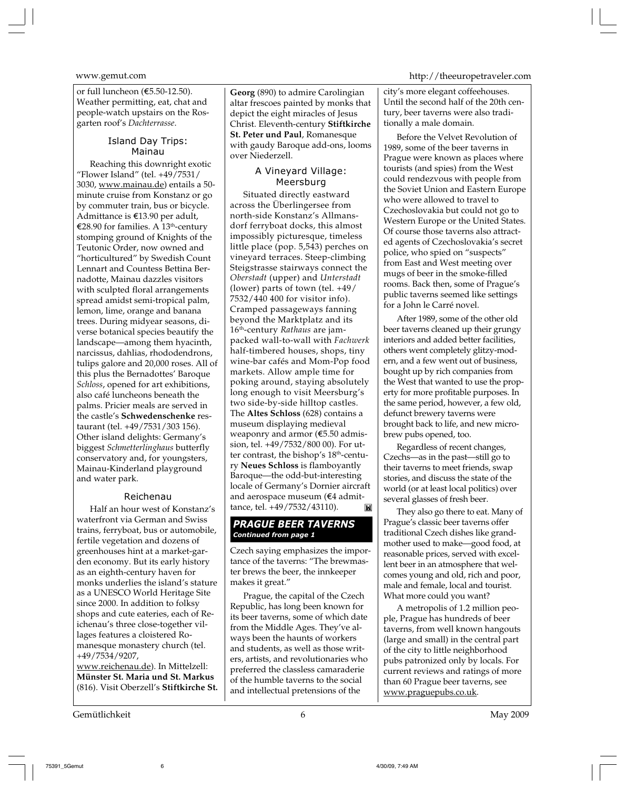or full luncheon (€5.50-12.50). Weather permitting, eat, chat and people-watch upstairs on the Rosgarten roof's *Dachterrasse*.

#### Island Day Trips: Mainau

Reaching this downright exotic "Flower Island" (tel. +49/7531/ 3030, www.mainau.de) entails a 50 minute cruise from Konstanz or go by commuter train, bus or bicycle. Admittance is  $£13.90$  per adult, e28.90 for families. A 13th-century stomping ground of Knights of the Teutonic Order, now owned and "horticultured" by Swedish Count Lennart and Countess Bettina Bernadotte, Mainau dazzles visitors with sculpted floral arrangements spread amidst semi-tropical palm, lemon, lime, orange and banana trees. During midyear seasons, diverse botanical species beautify the landscape—among them hyacinth, narcissus, dahlias, rhododendrons, tulips galore and 20,000 roses. All of this plus the Bernadottes' Baroque *Schloss*, opened for art exhibitions, also café luncheons beneath the palms. Pricier meals are served in the castle's **Schwedenschenke** restaurant (tel. +49/7531/303 156). Other island delights: Germany's biggest *Schmetterlinghaus* butterfly conservatory and, for youngsters, Mainau-Kinderland playground and water park.

#### Reichenau

Half an hour west of Konstanz's waterfront via German and Swiss trains, ferryboat, bus or automobile, fertile vegetation and dozens of greenhouses hint at a market-garden economy. But its early history as an eighth-century haven for monks underlies the island's stature as a UNESCO World Heritage Site since 2000. In addition to folksy shops and cute eateries, each of Reichenau's three close-together villages features a cloistered Romanesque monastery church (tel. +49/7534/9207,

www.reichenau.de). In Mittelzell: **Münster St. Maria und St. Markus** (816). Visit Oberzell's **Stiftkirche St.**

Gemütlichkeit 6 May 2009

**Georg** (890) to admire Carolingian altar frescoes painted by monks that depict the eight miracles of Jesus Christ. Eleventh-century **Stiftkirche St. Peter und Paul**, Romanesque with gaudy Baroque add-ons, looms over Niederzell.

#### A Vineyard Village: Meersburg

Situated directly eastward across the Überlingersee from north-side Konstanz's Allmansdorf ferryboat docks, this almost impossibly picturesque, timeless little place (pop. 5,543) perches on vineyard terraces. Steep-climbing Steigstrasse stairways connect the *Oberstadt* (upper) and *Unterstadt* (lower) parts of town (tel. +49/ 7532/440 400 for visitor info). Cramped passageways fanning beyond the Marktplatz and its 16th-century *Rathaus* are jampacked wall-to-wall with *Fachwerk* half-timbered houses, shops, tiny wine-bar cafés and Mom-Pop food markets. Allow ample time for poking around, staying absolutely long enough to visit Meersburg's two side-by-side hilltop castles. The **Altes Schloss** (628) contains a museum displaying medieval weaponry and armor  $(65.50$  admission, tel. +49/7532/800 00). For utter contrast, the bishop's 18<sup>th</sup>-century **Neues Schloss** is flamboyantly Baroque—the odd-but-interesting locale of Germany's Dornier aircraft and aerospace museum ( $€4$  admittance, tel. +49/7532/43110). **INE** 

#### *PRAGUE BEER TAVERNS Continued from page 1*

Czech saying emphasizes the importance of the taverns: "The brewmaster brews the beer, the innkeeper makes it great."

Prague, the capital of the Czech Republic, has long been known for its beer taverns, some of which date from the Middle Ages. They've always been the haunts of workers and students, as well as those writers, artists, and revolutionaries who preferred the classless camaraderie of the humble taverns to the social and intellectual pretensions of the

#### www.gemut.com http://theeuropetraveler.com

city's more elegant coffeehouses. Until the second half of the 20th century, beer taverns were also traditionally a male domain.

Before the Velvet Revolution of 1989, some of the beer taverns in Prague were known as places where tourists (and spies) from the West could rendezvous with people from the Soviet Union and Eastern Europe who were allowed to travel to Czechoslovakia but could not go to Western Europe or the United States. Of course those taverns also attracted agents of Czechoslovakia's secret police, who spied on "suspects" from East and West meeting over mugs of beer in the smoke-filled rooms. Back then, some of Prague's public taverns seemed like settings for a John le Carré novel.

After 1989, some of the other old beer taverns cleaned up their grungy interiors and added better facilities, others went completely glitzy-modern, and a few went out of business, bought up by rich companies from the West that wanted to use the property for more profitable purposes. In the same period, however, a few old, defunct brewery taverns were brought back to life, and new microbrew pubs opened, too.

Regardless of recent changes, Czechs—as in the past—still go to their taverns to meet friends, swap stories, and discuss the state of the world (or at least local politics) over several glasses of fresh beer.

They also go there to eat. Many of Prague's classic beer taverns offer traditional Czech dishes like grandmother used to make—good food, at reasonable prices, served with excellent beer in an atmosphere that welcomes young and old, rich and poor, male and female, local and tourist. What more could you want?

A metropolis of 1.2 million people, Prague has hundreds of beer taverns, from well known hangouts (large and small) in the central part of the city to little neighborhood pubs patronized only by locals. For current reviews and ratings of more than 60 Prague beer taverns, see www.praguepubs.co.uk.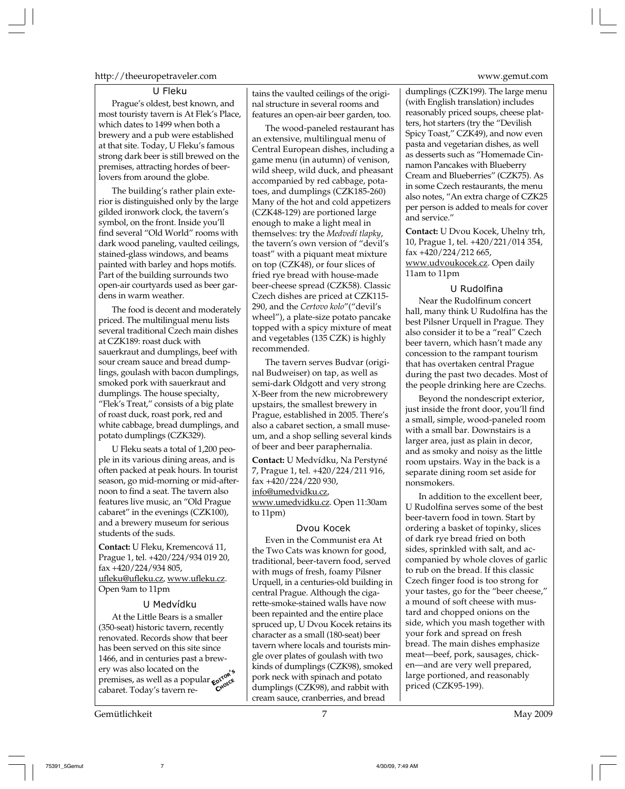#### http://theeuropetraveler.com www.gemut.com

#### U Fleku

Prague's oldest, best known, and most touristy tavern is At Flek's Place, which dates to 1499 when both a brewery and a pub were established at that site. Today, U Fleku's famous strong dark beer is still brewed on the premises, attracting hordes of beerlovers from around the globe.

The building's rather plain exterior is distinguished only by the large gilded ironwork clock, the tavern's symbol, on the front. Inside you'll find several "Old World" rooms with dark wood paneling, vaulted ceilings, stained-glass windows, and beams painted with barley and hops motifs. Part of the building surrounds two open-air courtyards used as beer gardens in warm weather.

The food is decent and moderately priced. The multilingual menu lists several traditional Czech main dishes at CZK189: roast duck with sauerkraut and dumplings, beef with sour cream sauce and bread dumplings, goulash with bacon dumplings, smoked pork with sauerkraut and dumplings. The house specialty, "Flek's Treat," consists of a big plate of roast duck, roast pork, red and white cabbage, bread dumplings, and potato dumplings (CZK329).

U Fleku seats a total of 1,200 people in its various dining areas, and is often packed at peak hours. In tourist season, go mid-morning or mid-afternoon to find a seat. The tavern also features live music, an "Old Prague cabaret" in the evenings (CZK100), and a brewery museum for serious students of the suds.

**Contact:** U Fleku, Kremencová 11, Prague 1, tel. +420/224/934 019 20, fax +420/224/934 805, ufleku@ufleku.cz, www.ufleku.cz. Open 9am to 11pm

#### U Medvídku

At the Little Bears is a smaller (350-seat) historic tavern, recently renovated. Records show that beer has been served on this site since 1466, and in centuries past a brewery was also located on the premises, as well as a popular **co<sup>rro</sup>ree**<br>cabaret Today's tavern recabaret. Today's tavern re-

Gemütlichkeit 7 May 2009

tains the vaulted ceilings of the original structure in several rooms and features an open-air beer garden, too.

The wood-paneled restaurant has an extensive, multilingual menu of Central European dishes, including a game menu (in autumn) of venison, wild sheep, wild duck, and pheasant accompanied by red cabbage, potatoes, and dumplings (CZK185-260) Many of the hot and cold appetizers (CZK48-129) are portioned large enough to make a light meal in themselves: try the *Medvedí tlapky*, the tavern's own version of "devil's toast" with a piquant meat mixture on top (CZK48), or four slices of fried rye bread with house-made beer-cheese spread (CZK58). Classic Czech dishes are priced at CZK115- 290, and the *Certovo kolo*"("devil's wheel"), a plate-size potato pancake topped with a spicy mixture of meat and vegetables (135 CZK) is highly recommended.

The tavern serves Budvar (original Budweiser) on tap, as well as semi-dark Oldgott and very strong X-Beer from the new microbrewery upstairs, the smallest brewery in Prague, established in 2005. There's also a cabaret section, a small museum, and a shop selling several kinds of beer and beer paraphernalia.

**Contact:** U Medvídku, Na Perstyné 7, Prague 1, tel. +420/224/211 916, fax +420/224/220 930, info@umedvidku.cz, www.umedvidku.cz. Open 11:30am to 11pm)

#### Dvou Kocek

Even in the Communist era At the Two Cats was known for good, traditional, beer-tavern food, served with mugs of fresh, foamy Pilsner Urquell, in a centuries-old building in central Prague. Although the cigarette-smoke-stained walls have now been repainted and the entire place spruced up, U Dvou Kocek retains its character as a small (180-seat) beer tavern where locals and tourists mingle over plates of goulash with two kinds of dumplings (CZK98), smoked pork neck with spinach and potato  $\epsilon_{\text{Cov}}^{\text{prote}}$  pork neck with spinach and potato dumplings (CZK98), and rabbit with priced (CZK95-199). cream sauce, cranberries, and bread

dumplings (CZK199). The large menu (with English translation) includes reasonably priced soups, cheese platters, hot starters (try the "Devilish Spicy Toast," CZK49), and now even pasta and vegetarian dishes, as well as desserts such as "Homemade Cinnamon Pancakes with Blueberry Cream and Blueberries" (CZK75). As in some Czech restaurants, the menu also notes, "An extra charge of CZK25 per person is added to meals for cover and service."

**Contact:** U Dvou Kocek, Uhelny trh, 10, Prague 1, tel. +420/221/014 354, fax +420/224/212 665, www.udvoukocek.cz. Open daily 11am to 11pm

#### U Rudolfina

Near the Rudolfinum concert hall, many think U Rudolfina has the best Pilsner Urquell in Prague. They also consider it to be a "real" Czech beer tavern, which hasn't made any concession to the rampant tourism that has overtaken central Prague during the past two decades. Most of the people drinking here are Czechs.

Beyond the nondescript exterior, just inside the front door, you'll find a small, simple, wood-paneled room with a small bar. Downstairs is a larger area, just as plain in decor, and as smoky and noisy as the little room upstairs. Way in the back is a separate dining room set aside for nonsmokers.

In addition to the excellent beer, U Rudolfina serves some of the best beer-tavern food in town. Start by ordering a basket of topinky, slices of dark rye bread fried on both sides, sprinkled with salt, and accompanied by whole cloves of garlic to rub on the bread. If this classic Czech finger food is too strong for your tastes, go for the "beer cheese," a mound of soft cheese with mustard and chopped onions on the side, which you mash together with your fork and spread on fresh bread. The main dishes emphasize meat—beef, pork, sausages, chicken—and are very well prepared, large portioned, and reasonably